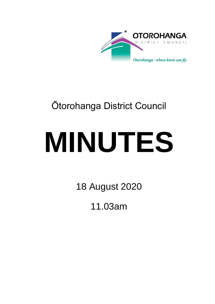

## Ōtorohanga District Council

# **MINUTES**

18 August 2020

11.03am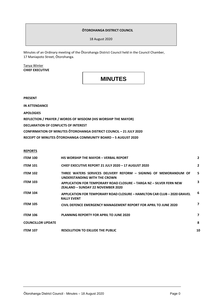#### **ŌTOROHANGA DISTRICT COUNCIL**

18 August 2020

Minutes of an Ordinary meeting of the Ōtorohanga District Council held in the Council Chamber, 17 Maniapoto Street, Ōtorohanga.

Tanya Winter **CHIEF EXECUTIVE**

### **MINUTES**

**PRESENT**

**IN ATTENDANCE**

**APOLOGIES**

**REFLECTION / PRAYER / WORDS OF WISDOM (HIS WORSHIP THE MAYOR)**

**DECLARATION OF CONFLICTS OF INTEREST**

**CONFIRMATION OF MINUTES ŌTOROHANGA DISTRICT COUNCIL – 21 JULY 2020**

**RECEIPT OF MINUTES ŌTOROHANGA COMMUNITY BOARD – 5 AUGUST 2020**

**REPORTS**

| <b>ITEM 100</b>          | <b>HIS WORSHIP THE MAYOR - VERBAL REPORT</b>                                                             | $\mathbf{2}$   |
|--------------------------|----------------------------------------------------------------------------------------------------------|----------------|
| <b>ITEM 101</b>          | CHIEF EXECUTIVE REPORT 21 JULY 2020 - 17 AUGUST 2020                                                     | $\overline{2}$ |
| <b>ITEM 102</b>          | THREE WATERS SERVICES DELIVERY REFORM - SIGNING OF MEMORANDUM OF<br>UNDERSTANDING WITH THE CROWN         | 5              |
| <b>ITEM 103</b>          | APPLICATION FOR TEMPORARY ROAD CLOSURE - TARGA NZ - SILVER FERN NEW<br>ZEALAND - SUNDAY 22 NOVEMBER 2020 |                |
| <b>ITEM 104</b>          | APPLICATION FOR TEMPORARY ROAD CLOSURE - HAMILTON CAR CLUB - 2020 GRAVEL<br><b>RALLY EVENT</b>           | 6              |
| <b>ITEM 105</b>          | CIVIL DEFENCE EMERGENCY MANAGEMENT REPORT FOR APRIL TO JUNE 2020                                         | 7              |
| <b>ITEM 106</b>          | PLANNING REPORTY FOR APRIL TO JUNE 2020                                                                  | 7              |
| <b>COUNCILLOR UPDATE</b> |                                                                                                          | 8              |
| <b>ITEM 107</b>          | <b>RESOLUTION TO EXLUDE THE PUBLIC</b>                                                                   | 10             |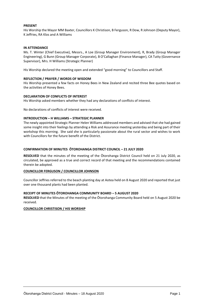#### **PRESENT**

His Worship the Mayor MM Baxter, Councillors K Christison, B Ferguson, R Dow, R Johnson (Deputy Mayor), K Jeffries, RA Klos and A Williams

#### **IN ATTENDANCE**

Ms. T. Winter (Chief Executive), Messrs., A Loe (Group Manager Environment), R, Brady (Group Manager Engineering), G Bunn (Group Manager Corporate), B O'Callaghan (Finance Manager), CA Tutty (Governance Supervisor), Mrs. H Williams (Strategic Planner)

His Worship declared the meeting open and extended "good morning" to Councillors and Staff.

#### **REFLECTION / PRAYER / WORDS OF WISDOM**

His Worship presented a few facts on Honey Bees in New Zealand and recited three Bee quotes based on the activities of Honey Bees.

#### **DECLARATION OF CONFLICTS OF INTEREST**

His Worship asked members whether they had any declarations of conflicts of interest.

No declarations of conflicts of interest were received.

#### **INTRODUCTION – H WILLIAMS – STRATEGIC PLANNER**

The newly appointed Strategic Planner Helen Williams addressed members and advised that she had gained some insight into their feelings by attending a Risk and Assurance meeting yesterday and being part of their workshop this morning. She said she is particularly passionate about the rural sector and wishes to work with Councillors for the future benefit of the District.

#### **CONFIRMATION OF MINUTES ŌTOROHANGA DISTRICT COUNCIL – 21 JULY 2020**

**RESOLVED** that the minutes of the meeting of the Ōtorohanga District Council held on 21 July 2020, as circulated, be approved as a true and correct record of that meeting and the recommendations contained therein be adopted.

#### **COUNCILLOR FERGUSON / COUNCILLOR JOHNSON**

Councillor Jeffries referred to the beach planting day at Aotea held on 8 August 2020 and reported that just over one thousand plants had been planted.

#### **RECEIPT OF MINUTES ŌTOROHANGA COMMUNITY BOARD – 5 AUGUST 2020**

**RESOLVED** that the Minutes of the meeting of the Ōtorohanga Community Board held on 5 August 2020 be received.

#### **COUNCILLOR CHRISTISON / HIS WORSHIP**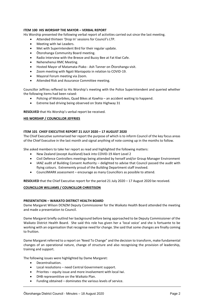#### **ITEM 100 HIS WORSHIP THE MAYOR – VERBAL REPORT**

His Worship presented the following verbal report of activities carried out since the last meeting.

- Attended thirteen 'Drop In' sessions for Council's LTP.
- Meeting with Iwi Leaders.
- Met with Superintendent Bird for their regular update.
- Ōtorohanga Community Board meeting.
- Radio Interview with the Breeze and Buzzy Bee at Fat Kiwi Cafe.
- Nehenehenui RMC Meeting.
- Hosted Mayor of Matamata-Piako Ash Tanner on Ōtorohanga visit.
- Zoom meeting with Ngati Maniapoto in relation to COVID-19.
- Mayoral Forum meeting via Zoom.
- Attended Risk and Assurance Committee meeting.

Councillor Jeffries reffered to His Worship's meeting with the Police Superintendent and queried whether the following items had been raised:

- Policing of Motorbikes, Quad Bikes at Kawhia an accident waiting to happend.
- Extreme bad driving being observed on State Highway 31

**RESOLVED** that His Worship's verbal report be received.

#### **HIS WORSHIP / COUNCILLOR JEFFRIES**

#### **ITEM 101 CHIEF EXECUTIVE REPORT 21 JULY 2020 – 17 AUGUST 2020**

The Chief Executive summarised her report the purpose of which is to inform Council of the key focus areas of the Chief Executive in the last month and signal anything of note coming up in the months to follow.

She asked members to take her report as read and highlighted the following matters:

- New Zealand (except Auckland) back into COVID-19 Alert Level 2
- Civil Defence Controllers meetings being attended by herself and/or Group Manager Environment
- IANZ audit of Building Consent Authority delighted to advise that Council passed the audit with flying colours. Extrememly proud of the Building Department staff involved.
- CouncilMARK assessment encourage as many Councillors as possible to attend.

**RESOLVED** that the Chief Executive report for the period 21 July 2020 – 17 August 2020 be received.

#### **COUNCILLOR WILLIAMS / COUNCILLOR CHRISTISON**

#### **PRESENTATION – WAIKATO DISTRICT HEALTH BOARD**

Dame Margaret Wilson DCNZM Deputy Commissioner for the Waikato Health Board attended the meeting and made a presentation to Council.

Dame Margaret briefly outlind her background before being approached to be Deputy Commissioner of the Waikato District Health Board. She said this role has given her a 'local voice' and she is fortuante to be working with an organisation that recognise need for change. She said that some changes are finally coming to fruition.

Dame Margaret referred to a report on 'Need To Change" and the decision to transform, make fundamental changes of an operational nature, change of structure and also recognising the provision of leadership, training and support.

The following issues were highlighted by Dame Margaret:

- Decentralisation.
- Local resolutions need Central Government support.
- Priorites equity issue and more involvement with local Iwi.
- DHB representitive on the Waikato Plan.
- Funding obtained dominates the various levels of service.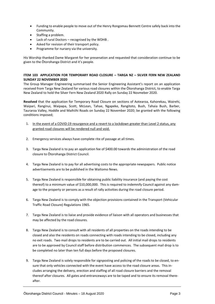- Funding to enable people to move out of the Henry Rongomau Bennett Centre safely back into the Community.
- Staffing a problem.
- Lack of rural Doctors recognised by the WDHB .
- Asked for revision of their transport policy.
- Programme for nursery via the university.

His Worship thanked Dame Margaret for her presenation and requested that consideration continue to be given to the Ōtorohanga District and it's people.

#### **ITEM 103 APPLICATION FOR TEMPORARY ROAD CLOSURE – TARGA NZ – SILVER FERN NEW ZEALAND SUNDAY 22 NOVEMBER 2020**

The Group Manager Engineering summarised the Senior Engineering Assistant's report on an application received from Targa New Zealand for various road closures within the Ōtorohanga District, to enable Targa New Zealand to hold the Silver Fern New Zealand 2020 Rally on Sunday 22 Novmeber 2020.

**Resolved** that the application for Temporary Road Closure on sections of Aotearoa, Kahorekau, Wairehi, Waipari, Ranginui, Waipapa, Scott, McLean, Tahae, Ngapeke, Rangitoto, Bush, Tahaia Bush, Barber, Tauraroa Valley, Hoddle and Maihiihi Roads on Sunday 22 November 2020; be granted with the following conditions imposed;

- 1. In the event of a COVID:19 resurgence and a revert to a lockdown greater than Level 2 status, any granted road closures will be rendered null and void.
- 2. Emergency services always have complete rite of passage at all times.
- 3. Targa New Zealand is to pay an application fee of \$400.00 towards the administration of the road closure to Ōtorohanga District Council.
- 4. Targa New Zealand is to pay for all advertising costs to the appropriate newspapers. Public notice advertisements are to be published in the Waitomo News.
- 5. Targa New Zealand is responsible for obtaining public liability insurance (and paying the cost thereof) to a minimum value of \$10,000,000. This is required to indemnify Council against any damage to the property or persons as a result of rally activities during the road closure period.
- 6. Targa New Zealand is to comply with the objection provisions contained in the Transport (Vehicular Traffic Road Closure) Regulations 1965.
- 7. Targa New Zealand is to liaise and provide evidence of liaison with all operators and businesses that may be affected by the road closures.
- 8. Targa New Zealand is to consult with all residents of all properties on the roads intending to be closed and also the residents on roads connecting with roads intending to be closed, including any no exit roads. Two mail drops to residents are to be carried out. All initial mail drops to residents are to be approved by Council staff before distribution commences. The subsequent mail drop is to be completed no later than ten full days before the proposed closures.
- 9. Targa New Zealand is solely responsible for signposting and policing of the roads to be closed, to ensure that only vehicles connected with the event have access to the road closure areas. This includes arranging the delivery, erection and staffing of all road closure barriers and the removal thereof after closures. All gates and entranceways are to be taped and to ensure its removal thereafter.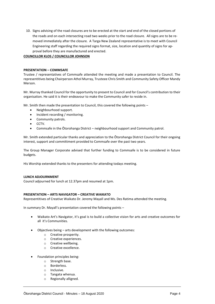10. Signs advising of the road closures are to be erected at the start and end of the closed portions of the roads and on each intersecting road two weeks prior to the road closure. All signs are to be removed immediately after the closure. A Targa New Zealand representative is to meet with Council Engineering staff regarding the required signs format, size, location and quantity of signs for approval before they are manufactured and erected.

#### **COUNCILLOR KLOS / COUNCILLOR JOHNSON**

#### **PRESENTATION – COMMSAFE**

Trustee / representatives of Commsafe attended the meeting and made a presentation to Council. The representitives being Chairperson Athol Murray, Trusteee Chris Smith and Community Safety Officer Mandy Merson.

Mr. Murray thanked Council for the opportunity to present to Council and for Council's contribution to their organisation. He said it is their endeavour to make the Community safer to reside in.

Mr. Smith then made the presentation to Council, this covered the following points –

- Neighbourhood support.
- Incident recording / monitoring.
- Community patrols.
- CCTV.
- Commsafe in the Ōtorohanga District neighbourhood support and Community patrol.

Mr. Smith extended particular thanks and appreciation to the Ōtorohanga District Council for their ongoing interest, support and committment provided to Commsafe over the past two years.

The Group Manager Corporate advised that further funding to Commsafe is to be considered in future budgets.

His Worship extended thanks to the presenters for attending todays meeting.

#### **LUNCH ADJOURNMENT**

Council adjourned for lunch at 12.37pm and resumed at 1pm.

#### **PRESENTATION – ARTS NAVIGATOR – CREATIVE WAIKATO**

Representitives of Creative Waikato Dr. Jeremy Mayall and Ms. Des Ratima attended the meeting.

In summary Dr. Mayall's presentation covered the following points –

- Waikato Art's Navigator, it's goal is to build a collective vision for arts and creative outcomes for all it's Communities.
- Objectives being arts development with the following outcomes:
	- o Creative prosperity.
	- o Creative experiences.
	- o Creative wellbeing.
	- o Creative excellence.
- Foundation principles being:
	- o Strength base.
	- o Borderless.
	- o Inclusive.
	- o Tangata whenua.
	- o Regionally alligned.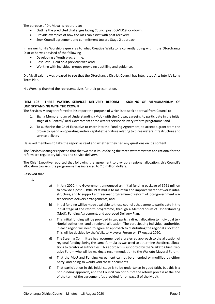The purpose of Dr. Mayall's report is to:

- Outline the predicted challenges facing Council post COVID19 lockdown.
- Provide examples of how the Arts can assist with post recovery.
- Seek Council agreement and commitment toward Stage 2 approach.

In answer to His Worship's query as to what Creative Waikato is currently doing within the Ōtorohanga District he was advised of the following-

- Developing a Youth programme.
- Best Fest Held on a previous weekend.
- Working with individual groups providing upskilling and guidance.

Dr. Myall said he was pleased to see that the Ōtorohanga District Council has integrated Arts into it's Long Term Plan.

His Worship thanked the representatives for their presentation.

#### **ITEM 102 THREE WATERS SERVICES DELIVERY REFORM – SIGNING OF MEMORANDUM OF UNDERSTANDING WITH THE CROWN**

The Services Manager referred to his report the purpose of which is to seek approval from Council to

- Sign a Memorandum of Understanding (MoU) with the Crown, agreeing to participate in the initial stage of a Central/Local Government three waters service delivery reform programme; and
- 2. To authorise the Chief Executive to enter into the Funding Agreement, to accept a grant from the Crown to spend on operating and/or capital expenditure relating to three waters infrastructure and service delivery

He asked members to take the report as read and whether they had any questions on it's content.

The Services Manager reported that the two main issues facing the three waters system and rational for the reform are regulatory failures and service delivery.

The Chief Executive reported that following the agreement to divy up a regional allocation, this Council's allocation towards the programme has increased to 2.5 million dollars.

#### **Resolved** that

1.

- a) In July 2020, the Government announced an initial funding package of \$761 million to provide a post COVID-19 stimulus to maintain and improve water networks infrastructure, and to support a three-year programme of reform of local government water services delivery arrangements; and
- b) Initial funding will be made available to those councils that agree to participate in the initial stage of the reform programme, through a Memorandum of Understanding (MoU), Funding Agreement, and approved Delivery Plan.
- c) This initial funding will be provided in two parts: a direct allocation to individual territorial authorities, and a regional allocation. The participating individual authorities in each region will need to agree an approach to distributing the regional allocation. This will be decided by the Waikato Mayoral Forum on 17 August 2020.
- d) The Steering Committee has recommended a preferred approach to the allocation of regional funding, being the same formula as was used to determine the direct allocations to territorial authorities. This approach is supported by the Waikato Chief Executive Forum who will be making a recommendation to the Waikato Mayoral Forum.
- e) That the MoU and Funding Agreement cannot be amended or modified by either party, and doing so would void these documents.
- f) That participation in this initial stage is to be undertaken in good faith, but this is a non-binding approach, and the Council can opt out of the reform process at the end of the term of the agreement (as provided for on page 5 of the MoU).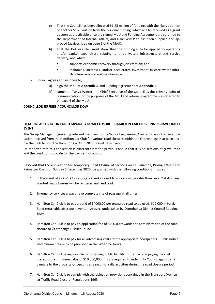- g) That the Council has been allocated \$1.25 million of funding, with the likely addition of another \$1.25 million from the regional funding, which will be received as a grant as soon as practicable once the signed MoU and Funding Agreement are returned to the Department of Internal Affairs, and a Delivery Plan has been supplied and approved (as described on page 5 of the MoU).
- h) That the Delivery Plan must show that the funding is to be applied to operating and/or capital expenditure relating to three waters infrastructure and service delivery, and which:
	- supports economic recovery through job creation; and
	- maintains, increases, and/or accelerates investment in core water infrastructure renewal and maintenance.
- 2. Council **agrees** and resolves to;
	- a) Sign the MoU at **Appendix A** and Funding Agreement at **Appendix B**.
	- b) Nominate Tanya Winter, the Chief Executive of the Council as the primary point of communication for the purposes of the MoU and reform programme – as referred to on page 6 of the MoU.

#### **COUNCILLOR JEFFRIES / COUNCILLOR DOW**

#### **ITEM 104 APPLICATION FOR TEMPORARY ROAD CLOSURE – HAMILTON CAR CLUB – 2020 GRAVEL RALLY EVENT**

The Group Manager Engineering referred members to the Senior Engineering Assistants report on an application received from the Hamilton Car Club for various road closures within the Ōtorohanga District to enable the Club to hold the Hamilton Car Club 2020 Gravel Rally Event.

He reported that this application is different from the previous one in that it is on sections of gravel road and the conditions provide for the payment of a Bond.

**Resolved** that the application for Temporary Road Closure of sections on Te Rauamoa, Pirongia West and Kaimango Roads on Sunday 6 December 2020; be granted with the following conditions imposed;

- 1. In the event of a COVID:19 resurgence and a revert to a lockdown greater than Level 2 status, any granted road closures will be rendered null and void.
- 2. Emergency services always have complete rite of passage at all times.
- 3. Hamilton Car Club is to pay a bond of \$4000.00 per unsealed road to be used, \$12 000 in total. Bond returnable after post event drive over, undertaken by Ōtorohanga District Council Roading Team.
- 4. Hamilton Car Club is to pay an application fee of \$400.00 towards the administration of the road closure to Ōtorohanga District Council.
- 5. Hamilton Car Club is to pay for all advertising costs to the appropriate newspapers. Public notice advertisements are to be published in the Waitomo News.
- 6. Hamilton Car Club is responsible for obtaining public liability insurance (and paying the cost thereof) to a minimum value of \$10,000,000. This is required to indemnify Council against any damage to the property or persons as a result of rally activities during the road closure period.
- 7. Hamilton Car Club is to comply with the objection provisions contained in the Transport (Vehicular Traffic Road Closure) Regulations 1965.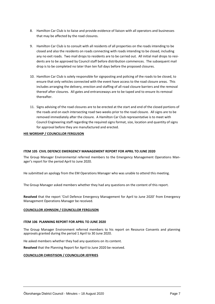- 8. Hamilton Car Club is to liaise and provide evidence of liaison with all operators and businesses that may be affected by the road closures.
- 9. Hamilton Car Club is to consult with all residents of all properties on the roads intending to be closed and also the residents on roads connecting with roads intending to be closed, including any no exit roads. Two mail drops to residents are to be carried out. All initial mail drops to residents are to be approved by Council staff before distribution commences. The subsequent mail drop is to be completed no later than ten full days before the proposed closures.
- 10. Hamilton Car Club is solely responsible for signposting and policing of the roads to be closed, to ensure that only vehicles connected with the event have access to the road closure areas. This includes arranging the delivery, erection and staffing of all road closure barriers and the removal thereof after closures. All gates and entranceways are to be taped and to ensure its removal thereafter.
- 11. Signs advising of the road closures are to be erected at the start and end of the closed portions of the roads and on each intersecting road two weeks prior to the road closure. All signs are to be removed immediately after the closure. A Hamilton Car Club representative is to meet with Council Engineering staff regarding the required signs format, size, location and quantity of signs for approval before they are manufactured and erected.

#### **HIS WORSHIP / COUNCILLOR FERGUSON**

#### **ITEM 105 CIVIL DEFENCE EMERGENCY MANAGEMENT REPORT FOR APRIL TO JUNE 2020**

The Group Manager Environmental referred members to the Emergency Management Operations Manager's report for the period April to June 2020.

He submitted an apology from the EM Operations Manager who was unable to attend this meeting.

The Group Manager asked members whether they had any questions on the content of this report.

**Resolved** that the report 'Civil Defence Emergency Management for April to June 2020' from Emergency Management Operations Manager be received.

#### **COUNCILLOR JOHNSON / COUNCILLOR FERGUSON**

#### **ITEM 106 PLANNING REPORT FOR APRIL TO JUNE 2020**

The Group Manager Environment referred members to his report on Resource Consents and planning approvals granted during the period 1 April to 30 June 2020.

He asked members whether they had any questions on its content.

**Resolved** that the Planning Report for April to June 2020 be received.

#### **COUNCILLOR CHRISTISON / COUNCILLOR JEFFRIES**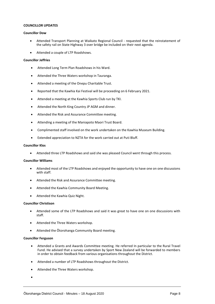#### **COUNCILLOR UPDATES**

#### **Councillor Dow**

- Attended Transport Planning at Waikato Regional Council requested that the reinstatement of the safety rail on State Highway 3 over bridge be included on their next agenda.
- Attended a couple of LTP Roadshows.

#### **Councillor Jeffries**

- Attended Long Term Plan Roadshows in his Ward.
- Attended the Three Waters workshop in Tauranga.
- Attended a meeting of the Onepu Charitable Trust.
- Reported that the Kawhia Kai Festival will be proceeding on 6 February 2021.
- Attended a meeting at the Kawhia Sports Club run by TKI.
- Attended the North King Country JP AGM and dinner.
- Attended the Risk and Assurance Committee meeting.
- Attending a meeting of the Maniapoto Maori Trust Board.
- Complimented staff involved on the work undertaken on the Kawhia Museum Building.
- Extended appreciation to NZTA for the work carried out at Puti Bluff.

#### **Councillor Klos**

Attended three LTP Roadshows and said she was pleased Council went through this process.

#### **Councillor Williams**

- Attended most of the LTP Roadshows and enjoyed the opportunity to have one on one discussions with staff.
- Attended the Risk and Assurance Committee meeting.
- Attended the Kawhia Community Board Meeting.
- Attended the Kawhia Quiz Night.

#### **Councillor Christison**

- Attended some of the LTP Roadshows and said it was great to have one on one discussions with staff.
- Attended the Three Waters workshop.
- Attended the Ōtorohanga Community Board meeting.

#### **Councillor Ferguson**

- Attended a Grants and Awards Committee meeting. He referred In particular to the Rural Travel Fund. He advised that a survey undertaken by Sport New Zealand will be forwarded to members in order to obtain feedback from various organisations throughout the District.
- Attended a number of LTP Roadshows throughout the District.
- Attended the Three Waters workshop.
- $\bullet$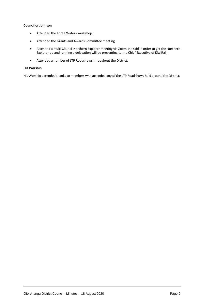#### **Councillor Johnson**

- Attended the Three Waters workshop.
- Attended the Grants and Awards Committee meeting.
- Attended a multi Council Northern Explorer meeting via Zoom. He said in order to get the Northern Explorer up and running a delegation will be presenting to the Chief Executive of KiwiRail.
- Attended a number of LTP Roadshows throughout the District.

#### **His Worship**

His Worship extended thanks to members who attended any of the LTP Roadshows held around the District.